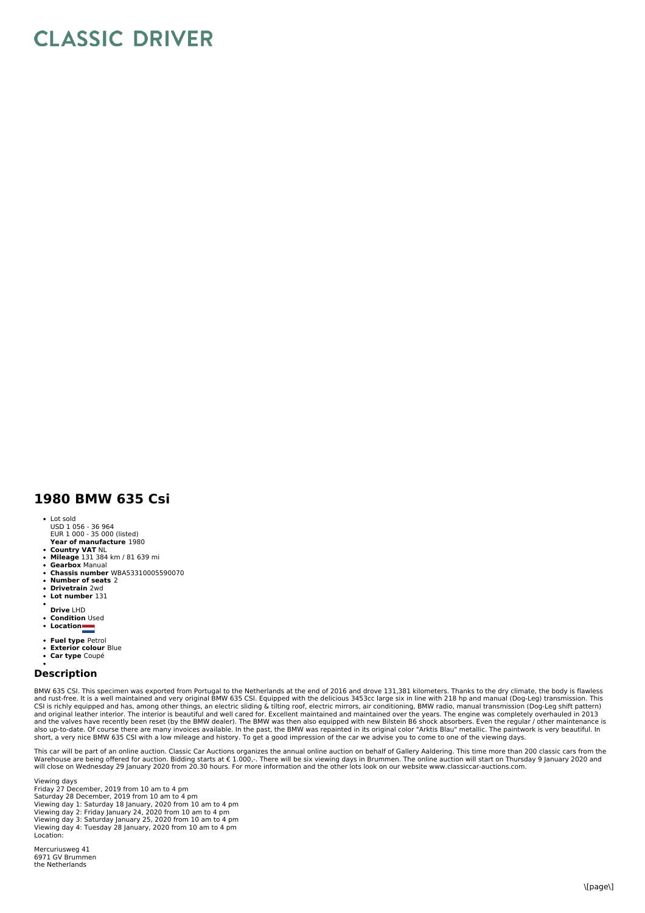## **CLASSIC DRIVER**

## **1980 BMW 635 Csi**

- Lot sold
- USD 1 056 36 964 EUR 1 000 35 000 (listed)
- **Year of manufacture** 1980
- **Country VAT** NL **Mileage** 131 384 km / 81 639 mi
- **Gearbox** Manual
- **Chassis number** WBA53310005590070
- **Number of seats** 2
- **Drivetrain** 2wd
- **Lot number** 131
- **Drive** LHD
- **Condition** Used
- **Location**
- 
- **Fuel type** Petrol **Exterior colour** Blue
- **Car type** Coupé

## **Description**

BMW 635 CSI. This specimen was exported from Portugal to the Netherlands at the end of 2016 and drove 131,381 kilometers. Thanks to the dry climate, the body is flawless<br>and rust-free. It is a well maintained and very orig also up-to-date. Of course there are many invoices available. In the past, the BMW was repainted in its original color "Arktis Blau" metallic. The paintwork is very beautiful. In short, a very nice BMW 635 CSI with a low mileage and history. To get a good impression of the car we advise you to come to one of the viewing days.

This car will be part of an online auction. Classic Car Auctions organizes the annual online auction on behalf of Gallery Aaldering. This time more than 200 classic cars from the Warehouse are being offered for auction. Bidding starts at € 1.000,-. There will be six viewing days in Brummen. The online auction will start on Thursday 9 January 2020 and<br>will close on Wednesday 29 January 2020 from 20

Viewing days Friday 27 December, 2019 from 10 am to 4 pm Saturday 28 December, 2019 from 10 am to 4 pm<br>Viewing day 1: Saturday 18 January, 2020 from 10 am to 4 pm<br>Viewing day 2: Friday January 24, 2020 from 10 am to 4 pm<br>Viewing day 3: Saturday January 25, 2020 from 10 am to 4 p Location:

Mercuriusweg 41 6971 GV Brummen the Netherlands